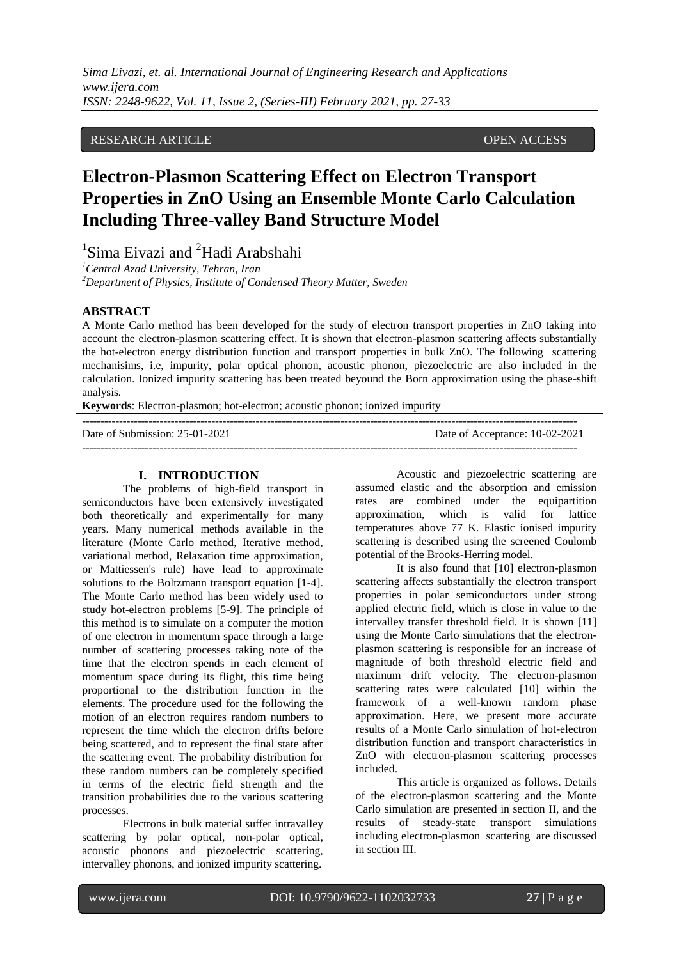# RESEARCH ARTICLE OPEN ACCESS

# **Electron-Plasmon Scattering Effect on Electron Transport Properties in ZnO Using an Ensemble Monte Carlo Calculation Including Three-valley Band Structure Model**

<sup>1</sup>Sima Eivazi and <sup>2</sup>Hadi Arabshahi

*<sup>1</sup>Central Azad University, Tehran, Iran <sup>2</sup>Department of Physics, Institute of Condensed Theory Matter, Sweden*

# **ABSTRACT**

A Monte Carlo method has been developed for the study of electron transport properties in ZnO taking into account the electron-plasmon scattering effect. It is shown that electron-plasmon scattering affects substantially the hot-electron energy distribution function and transport properties in bulk ZnO. The following scattering mechanisims, i.e, impurity, polar optical phonon, acoustic phonon, piezoelectric are also included in the calculation. Ionized impurity scattering has been treated beyound the Born approximation using the phase-shift analysis.

--------------------------------------------------------------------------------------------------------------------------------------

**Keywords**: Electron-plasmon; hot-electron; acoustic phonon; ionized impurity

Date of Submission: 25-01-2021 Date of Acceptance: 10-02-2021

--------------------------------------------------------------------------------------------------------------------------------------

# **I. INTRODUCTION**

The problems of high-field transport in semiconductors have been extensively investigated both theoretically and experimentally for many years. Many numerical methods available in the literature (Monte Carlo method, Iterative method, variational method, Relaxation time approximation, or Mattiessen's rule) have lead to approximate solutions to the Boltzmann transport equation [1-4]. The Monte Carlo method has been widely used to study hot-electron problems [5-9]. The principle of this method is to simulate on a computer the motion of one electron in momentum space through a large number of scattering processes taking note of the time that the electron spends in each element of momentum space during its flight, this time being proportional to the distribution function in the elements. The procedure used for the following the motion of an electron requires random numbers to represent the time which the electron drifts before being scattered, and to represent the final state after the scattering event. The probability distribution for these random numbers can be completely specified in terms of the electric field strength and the transition probabilities due to the various scattering processes.

Electrons in bulk material suffer intravalley scattering by polar optical, non-polar optical, acoustic phonons and piezoelectric scattering, intervalley phonons, and ionized impurity scattering.

Acoustic and piezoelectric scattering are assumed elastic and the absorption and emission rates are combined under the equipartition approximation, which is valid for lattice temperatures above 77 K. Elastic ionised impurity scattering is described using the screened Coulomb potential of the Brooks-Herring model.

It is also found that [10] electron-plasmon scattering affects substantially the electron transport properties in polar semiconductors under strong applied electric field, which is close in value to the intervalley transfer threshold field. It is shown [11] using the Monte Carlo simulations that the electronplasmon scattering is responsible for an increase of magnitude of both threshold electric field and maximum drift velocity. The electron-plasmon scattering rates were calculated [10] within the framework of a well-known random phase approximation. Here, we present more accurate results of a Monte Carlo simulation of hot-electron distribution function and transport characteristics in ZnO with electron-plasmon scattering processes included.

This article is organized as follows. Details of the electron-plasmon scattering and the Monte Carlo simulation are presented in section II, and the results of steady-state transport simulations including electron-plasmon scattering are discussed in section III.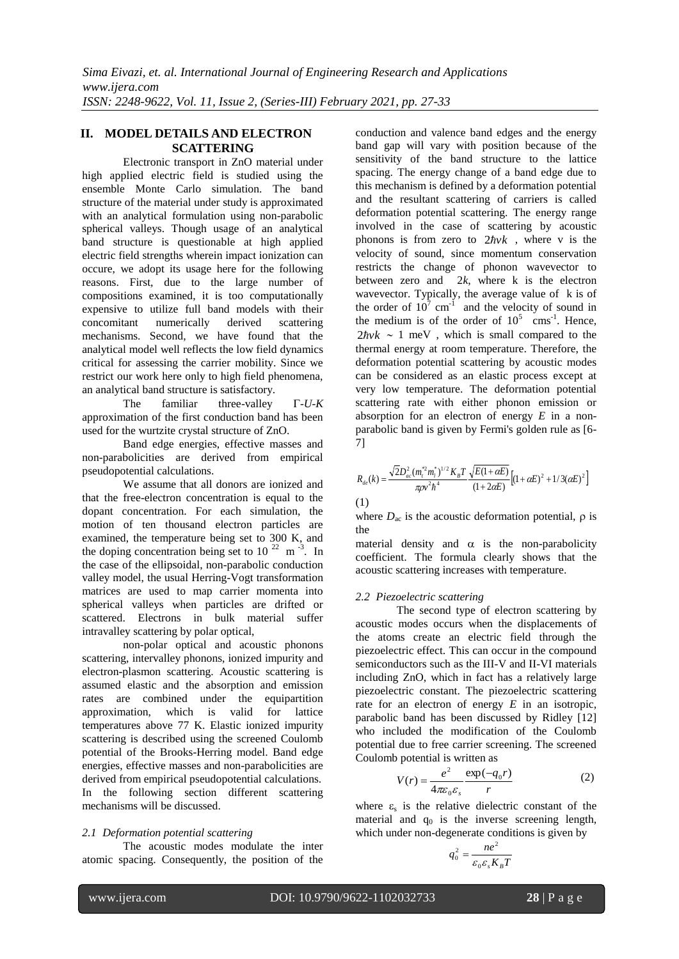# **II. MODEL DETAILS AND ELECTRON SCATTERING**

Electronic transport in ZnO material under high applied electric field is studied using the ensemble Monte Carlo simulation. The band structure of the material under study is approximated with an analytical formulation using non-parabolic spherical valleys. Though usage of an analytical band structure is questionable at high applied electric field strengths wherein impact ionization can occure, we adopt its usage here for the following reasons. First, due to the large number of compositions examined, it is too computationally expensive to utilize full band models with their concomitant numerically derived scattering mechanisms. Second, we have found that the analytical model well reflects the low field dynamics critical for assessing the carrier mobility. Since we restrict our work here only to high field phenomena, an analytical band structure is satisfactory.

The familiar three-valley  $\Gamma$ -*U-K* approximation of the first conduction band has been used for the wurtzite crystal structure of ZnO.

Band edge energies, effective masses and non-parabolicities are derived from empirical pseudopotential calculations.

We assume that all donors are ionized and that the free-electron concentration is equal to the dopant concentration. For each simulation, the motion of ten thousand electron particles are examined, the temperature being set to 300 K, and the doping concentration being set to  $10^{22}$  m<sup>-3</sup>. In the case of the ellipsoidal, non-parabolic conduction valley model, the usual Herring-Vogt transformation matrices are used to map carrier momenta into spherical valleys when particles are drifted or scattered. Electrons in bulk material suffer intravalley scattering by polar optical,

non-polar optical and acoustic phonons scattering, intervalley phonons, ionized impurity and electron-plasmon scattering. Acoustic scattering is assumed elastic and the absorption and emission rates are combined under the equipartition approximation, which is valid for lattice temperatures above 77 K. Elastic ionized impurity scattering is described using the screened Coulomb potential of the Brooks-Herring model. Band edge energies, effective masses and non-parabolicities are derived from empirical pseudopotential calculations. In the following section different scattering mechanisms will be discussed.

# *2.1 Deformation potential scattering*

The acoustic modes modulate the inter atomic spacing. Consequently, the position of the conduction and valence band edges and the energy band gap will vary with position because of the sensitivity of the band structure to the lattice spacing. The energy change of a band edge due to this mechanism is defined by a deformation potential and the resultant scattering of carriers is called deformation potential scattering. The energy range involved in the case of scattering by acoustic phonons is from zero to  $2\hbar v k$ , where v is the velocity of sound, since momentum conservation restricts the change of phonon wavevector to between zero and  $2k$ , where k is the electron wavevector. Typically, the average value of k is of the order of  $10^7$  cm<sup>-1</sup> and the velocity of sound in the medium is of the order of  $10^5$  cms<sup>-1</sup>. Hence,  $2\hbar v k \sim 1$  meV, which is small compared to the thermal energy at room temperature. Therefore, the deformation potential scattering by acoustic modes can be considered as an elastic process except at very low temperature. The deformation potential scattering rate with either phonon emission or absorption for an electron of energy *E* in a nonparabolic band is given by Fermi's golden rule as [6- 7]

$$
R_{de}(k) = \frac{\sqrt{2}D_{ac}^{2}(m_{t}^{*2}m_{l}^{*})^{1/2}K_{B}T}{\pi \rho v^{2}h^{4}} \frac{\sqrt{E(1+\alpha E)}}{(1+2\alpha E)} \Big[ (1+\alpha E)^{2} + 1/3(\alpha E)^{2} \Big]
$$

$$
(1)
$$

where  $D_{ac}$  is the acoustic deformation potential,  $\rho$  is the

material density and  $\alpha$  is the non-parabolicity coefficient. The formula clearly shows that the acoustic scattering increases with temperature.

# *2.2 Piezoelectric scattering*

The second type of electron scattering by acoustic modes occurs when the displacements of the atoms create an electric field through the piezoelectric effect. This can occur in the compound semiconductors such as the III-V and II-VI materials including ZnO, which in fact has a relatively large piezoelectric constant. The piezoelectric scattering rate for an electron of energy *E* in an isotropic, parabolic band has been discussed by Ridley [12] who included the modification of the Coulomb potential due to free carrier screening. The screened Coulomb potential is written as

$$
V(r) = \frac{e^2}{4\pi\varepsilon_0\varepsilon_s} \frac{\exp(-q_0r)}{r}
$$
 (2)

where  $\varepsilon$ <sub>s</sub> is the relative dielectric constant of the material and  $q_0$  is the inverse screening length, which under non-degenerate conditions is given by

$$
q_0^2 = \frac{ne^2}{\varepsilon_0 \varepsilon_s K_B T}
$$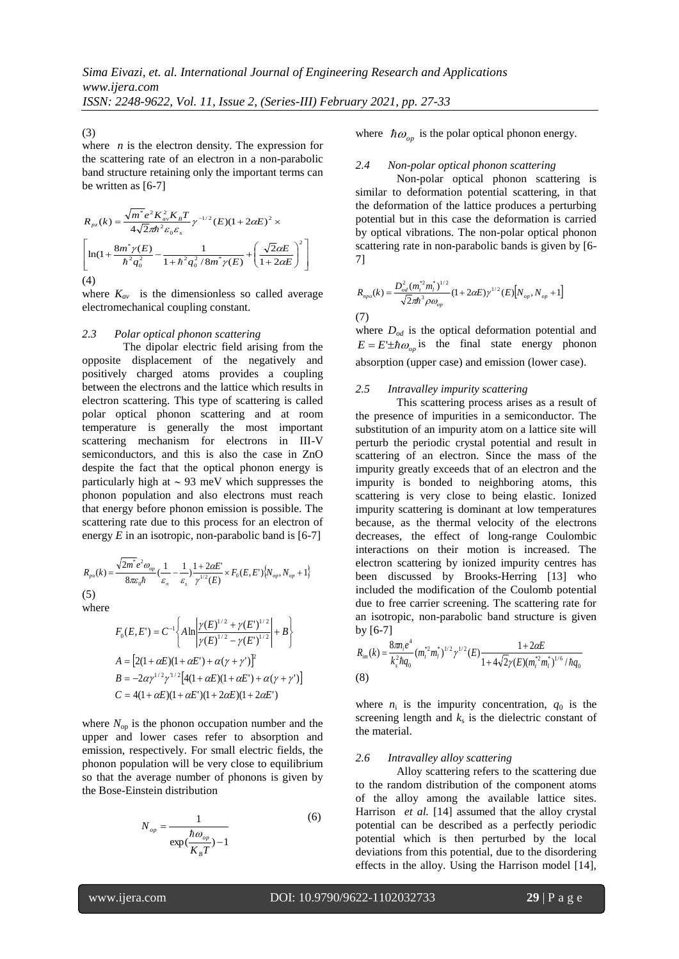*ISSN: 2248-9622, Vol. 11, Issue 2, (Series-III) February 2021, pp. 27-33*

(3)

where *n* is the electron density. The expression for the scattering rate of an electron in a non-parabolic band structure retaining only the important terms can be written as [6-7]

$$
R_{pz}(k) = \frac{\sqrt{m^*}e^2K_{av}^2K_B T}{4\sqrt{2}\pi\hbar^2\varepsilon_0\varepsilon_s} \gamma^{-1/2}(E)(1+2\alpha E)^2 \times
$$
  
\n
$$
\left[\ln(1+\frac{8m^* \gamma(E)}{\hbar^2 q_0^2} - \frac{1}{1+\hbar^2 q_0^2/8m^* \gamma(E)} + \left(\frac{\sqrt{2}\alpha E}{1+2\alpha E}\right)^2\right]
$$
  
\n(4)

where  $K_{av}$  is the dimensionless so called average electromechanical coupling constant.

### *2.3 Polar optical phonon scattering*

The dipolar electric field arising from the opposite displacement of the negatively and positively charged atoms provides a coupling between the electrons and the lattice which results in electron scattering. This type of scattering is called polar optical phonon scattering and at room temperature is generally the most important scattering mechanism for electrons in III-V semiconductors, and this is also the case in ZnO despite the fact that the optical phonon energy is particularly high at  $\sim$  93 meV which suppresses the phonon population and also electrons must reach that energy before phonon emission is possible. The scattering rate due to this process for an electron of energy  $E$  in an isotropic, non-parabolic band is  $[6-7]$ 

$$
R_{\rho o}(k) = \frac{\sqrt{2m^*}e^2\omega_{op}}{8\pi\varepsilon_0\hbar}(\frac{1}{\varepsilon_{\infty}} - \frac{1}{\varepsilon_s})\frac{1 + 2\alpha E'}{\gamma^{1/2}(E)} \times F_0(E, E')\{N_{op}, N_{op} + 1\}
$$
\n(5)

where

$$
F_0(E, E^{\prime}) = C^{-1} \left\{ A \ln \left| \frac{\gamma(E)^{1/2} + \gamma(E^{\prime})^{1/2}}{\gamma(E)^{1/2} - \gamma(E^{\prime})^{1/2}} \right| + B \right\}
$$
  
\n
$$
A = \left[ 2(1 + \alpha E)(1 + \alpha E^{\prime}) + \alpha(\gamma + \gamma^{\prime}) \right]^2
$$
  
\n
$$
B = -2\alpha \gamma^{1/2} \gamma^{1/2} \left[ 4(1 + \alpha E)(1 + \alpha E^{\prime}) + \alpha(\gamma + \gamma^{\prime}) \right]
$$
  
\n
$$
C = 4(1 + \alpha E)(1 + \alpha E^{\prime})(1 + 2\alpha E)(1 + 2\alpha E^{\prime})
$$

where  $N_{op}$  is the phonon occupation number and the upper and lower cases refer to absorption and emission, respectively. For small electric fields, the phonon population will be very close to equilibrium so that the average number of phonons is given by the Bose-Einstein distribution

$$
N_{op} = \frac{1}{\exp(\frac{\hbar \omega_{op}}{K_B T}) - 1}
$$
 (6)

where  $\hbar \omega_{op}$  is the polar optical phonon energy.

#### *2.4 Non-polar optical phonon scattering*

Non-polar optical phonon scattering is similar to deformation potential scattering, in that the deformation of the lattice produces a perturbing potential but in this case the deformation is carried by optical vibrations. The non-polar optical phonon scattering rate in non-parabolic bands is given by [6- 7]

$$
R_{_{npo}}(k) = \frac{D_{od}^2 (m_i^* m_l^*)^{1/2}}{\sqrt{2\pi\hbar^3 \rho \omega_{op}}} (1 + 2\alpha E) \gamma^{1/2} (E) [N_{op}, N_{op} + 1]
$$
  
(7)

where  $D_{od}$  is the optical deformation potential and  $E = E^{\dagger} \pm \hbar \omega_{op}$  is the final state energy phonon absorption (upper case) and emission (lower case).

#### *2.5 Intravalley impurity scattering*

This scattering process arises as a result of the presence of impurities in a semiconductor. The substitution of an impurity atom on a lattice site will perturb the periodic crystal potential and result in scattering of an electron. Since the mass of the impurity greatly exceeds that of an electron and the impurity is bonded to neighboring atoms, this scattering is very close to being elastic. Ionized impurity scattering is dominant at low temperatures because, as the thermal velocity of the electrons decreases, the effect of long-range Coulombic interactions on their motion is increased. The electron scattering by ionized impurity centres has been discussed by Brooks-Herring [13] who included the modification of the Coulomb potential due to free carrier screening. The scattering rate for an isotropic, non-parabolic band structure is given by [6-7]

$$
R_{im}(k) = \frac{8\pi n_i e^4}{k_s^2 \hbar q_0} (m_i^* m_i^*)^{1/2} \gamma^{1/2} (E) \frac{1 + 2\alpha E}{1 + 4\sqrt{2}\gamma(E)(m_i^* m_i^*)^{1/6}/\hbar q_0}
$$
\n(8)

where  $n_i$  is the impurity concentration,  $q_0$  is the screening length and  $k<sub>s</sub>$  is the dielectric constant of the material.

#### *2.6 Intravalley alloy scattering*

Alloy scattering refers to the scattering due to the random distribution of the component atoms of the alloy among the available lattice sites. Harrison *et al.* [14] assumed that the alloy crystal potential can be described as a perfectly periodic potential which is then perturbed by the local deviations from this potential, due to the disordering effects in the alloy. Using the Harrison model [14],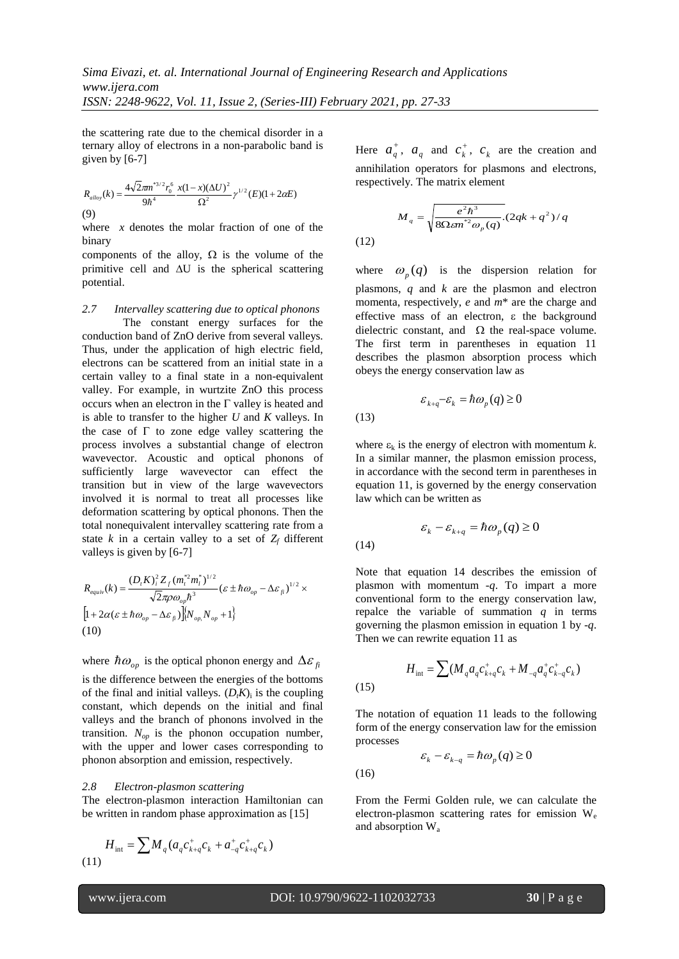the scattering rate due to the chemical disorder in a ternary alloy of electrons in a non-parabolic band is given by [6-7]

$$
R_{\text{allow}}(k) = \frac{4\sqrt{2}\pi m^{*3/2} r_0^6}{9\hbar^4} \frac{x(1-x)(\Delta U)^2}{\Omega^2} \gamma^{1/2} (E)(1+2\alpha E)
$$
\n(9)

where *x* denotes the molar fraction of one of the binary

components of the alloy,  $\Omega$  is the volume of the primitive cell and  $\Delta U$  is the spherical scattering potential.

*2.7 Intervalley scattering due to optical phonons*  The constant energy surfaces for the conduction band of ZnO derive from several valleys. Thus, under the application of high electric field, electrons can be scattered from an initial state in a certain valley to a final state in a non-equivalent valley. For example, in wurtzite ZnO this process occurs when an electron in the  $\Gamma$  valley is heated and is able to transfer to the higher *U* and *K* valleys. In the case of  $\Gamma$  to zone edge valley scattering the process involves a substantial change of electron wavevector. Acoustic and optical phonons of sufficiently large wavevector can effect the transition but in view of the large wavevectors involved it is normal to treat all processes like deformation scattering by optical phonons. Then the total nonequivalent intervalley scattering rate from a state *k* in a certain valley to a set of  $Z_f$  different valleys is given by [6-7]

$$
R_{equiv}(k) = \frac{(D_t K)_i^2 Z_f (m_t^* m_l^*)^{1/2}}{\sqrt{2} \pi \rho \omega_{op} \hbar^3} (\varepsilon \pm \hbar \omega_{op} - \Delta \varepsilon_{fl})^{1/2} \times
$$
  
\n
$$
\left[1 + 2\alpha(\varepsilon \pm \hbar \omega_{op} - \Delta \varepsilon_{fl})\right] \left[N_{op}, N_{op} + 1\right]
$$
  
\n(10)

where  $\hbar \omega_{op}$  is the optical phonon energy and  $\Delta \varepsilon_{fi}$ is the difference between the energies of the bottoms of the final and initial valleys.  $(D_t K)$  is the coupling constant, which depends on the initial and final valleys and the branch of phonons involved in the transition.  $N_{op}$  is the phonon occupation number, with the upper and lower cases corresponding to phonon absorption and emission, respectively.

#### *2.8 Electron-plasmon scattering*

The electron-plasmon interaction Hamiltonian can be written in random phase approximation as [15]

$$
H_{\text{int}} = \sum M_q (a_q c_{k+q}^+ c_k + a_{-q}^+ c_{k+q}^+ c_k)
$$
\n(11)

Here  $a_q^+$ ,  $a_q$  and  $c_k^+$  $c_k^+$ ,  $c_k^-$  are the creation and annihilation operators for plasmons and electrons, respectively. The matrix element

$$
M_q = \sqrt{\frac{e^2 h^3}{8\Omega \varepsilon m^{*2} \omega_p(q)}}. (2qk + q^2)/q
$$

(12)

(13)

(14)

where  $\omega_p(q)$  is the dispersion relation for plasmons, *q* and *k* are the plasmon and electron momenta, respectively, *e* and *m*\* are the charge and effective mass of an electron,  $\varepsilon$  the background dielectric constant, and  $\Omega$  the real-space volume. The first term in parentheses in equation 11 describes the plasmon absorption process which obeys the energy conservation law as

$$
\varepsilon_{k+q} - \varepsilon_k = \hbar \omega_p(q) \ge 0
$$
 (13)

where  $\varepsilon_k$  is the energy of electron with momentum  $k$ . In a similar manner, the plasmon emission process, in accordance with the second term in parentheses in equation 11, is governed by the energy conservation law which can be written as

$$
\varepsilon_k - \varepsilon_{k+q} = \hbar \omega_p(q) \ge 0
$$
\n(14)

Note that equation 14 describes the emission of plasmon with momentum -*q*. To impart a more conventional form to the energy conservation law, repalce the variable of summation *q* in terms governing the plasmon emission in equation 1 by -*q*. Then we can rewrite equation 11 as

(15) 
$$
H_{\text{int}} = \sum (M_q a_q c_{k+q}^+ c_k + M_{-q} a_q^+ c_{k-q}^+ c_k)
$$

The notation of equation 11 leads to the following form of the energy conservation law for the emission processes

$$
\varepsilon_k - \varepsilon_{k-q} = \hbar \omega_p(q) \ge 0
$$
 (16)

From the Fermi Golden rule, we can calculate the electron-plasmon scattering rates for emission W<sup>e</sup> and absorption Wa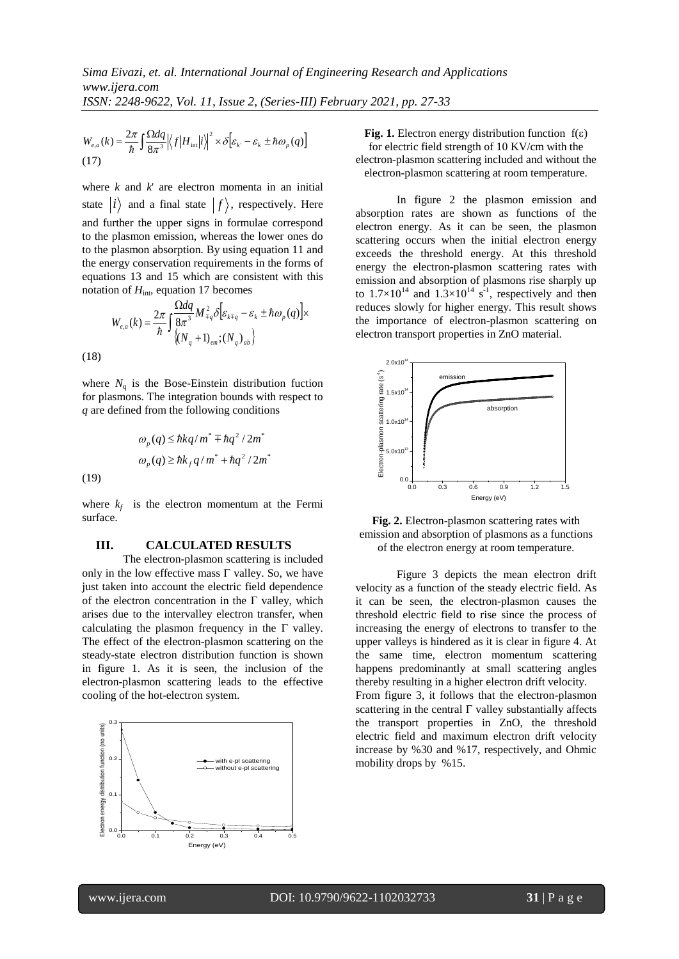$$
W_{e,a}(k) = \frac{2\pi}{\hbar} \int \frac{\Omega dq}{8\pi^3} \left| \left\langle f \left| H_{\text{int}} \right| i \right\rangle \right|^2 \times \delta \left[ \varepsilon_k - \varepsilon_k \pm \hbar \omega_p(q) \right]
$$
\n(17)

where *k* and *k*' are electron momenta in an initial state  $|i\rangle$  and a final state  $|f\rangle$ , respectively. Here and further the upper signs in formulae correspond to the plasmon emission, whereas the lower ones do to the plasmon absorption. By using equation 11 and the energy conservation requirements in the forms of equations 13 and 15 which are consistent with this notation of  $H_{\text{int}}$ , equation 17 becomes

$$
W_{e,a}(k) = \frac{2\pi}{\hbar} \int \frac{\Omega dq}{8\pi^3} M_{\mp q}^2 \delta \left[ \varepsilon_{k \mp q} - \varepsilon_k \pm \hbar \omega_p(q) \right] \times
$$
\n(18)

where  $N_q$  is the Bose-Einstein distribution fuction for plasmons. The integration bounds with respect to *q* are defined from the following conditions

$$
\omega_p(q) \le \hbar k q/m^* \mp \hbar q^2 / 2m^*
$$

$$
\omega_p(q) \ge \hbar k_f q/m^* + \hbar q^2 / 2m^*
$$
(19)

where  $k_f$  is the electron momentum at the Fermi surface.

#### **III. CALCULATED RESULTS**

 $V_{cs}(k) = \frac{\omega_{\text{ref}}}{n} \int \frac{\sin \omega_{\text{ref}}}{\sin \omega_{\text{ref}}}|f|H_{\text{lin}}|f| \times \delta |E_{v} - E_{v} \pm \hbar \omega_{p}(q)|$ <br>
(7)<br>
there k and k are electron momenta in an initiate  $|i\rangle$  and a final state  $|f\rangle$ , respectively. Here<br>  $|i\rangle$  and a final state The electron-plasmon scattering is included only in the low effective mass  $\Gamma$  valley. So, we have just taken into account the electric field dependence of the electron concentration in the  $\Gamma$  valley, which arises due to the intervalley electron transfer, when calculating the plasmon frequency in the  $\Gamma$  valley. The effect of the electron-plasmon scattering on the steady-state electron distribution function is shown in figure 1. As it is seen, the inclusion of the electron-plasmon scattering leads to the effective cooling of the hot-electron system.



**Fig. 1.** Electron energy distribution function  $f(\epsilon)$ for electric field strength of 10 KV/cm with the electron-plasmon scattering included and without the electron-plasmon scattering at room temperature.

In figure 2 the plasmon emission and absorption rates are shown as functions of the electron energy. As it can be seen, the plasmon scattering occurs when the initial electron energy exceeds the threshold energy. At this threshold energy the electron-plasmon scattering rates with emission and absorption of plasmons rise sharply up to  $1.7 \times 10^{14}$  and  $1.3 \times 10^{14}$  s<sup>-1</sup>, respectively and then reduces slowly for higher energy. This result shows the importance of electron-plasmon scattering on electron transport properties in ZnO material.



**Fig. 2.** Electron-plasmon scattering rates with emission and absorption of plasmons as a functions of the electron energy at room temperature.

Figure 3 depicts the mean electron drift velocity as a function of the steady electric field. As it can be seen, the electron-plasmon causes the threshold electric field to rise since the process of increasing the energy of electrons to transfer to the upper valleys is hindered as it is clear in figure 4. At the same time, electron momentum scattering happens predominantly at small scattering angles thereby resulting in a higher electron drift velocity. From figure 3, it follows that the electron-plasmon scattering in the central  $\Gamma$  valley substantially affects the transport properties in ZnO, the threshold electric field and maximum electron drift velocity increase by %30 and %17, respectively, and Ohmic mobility drops by %15.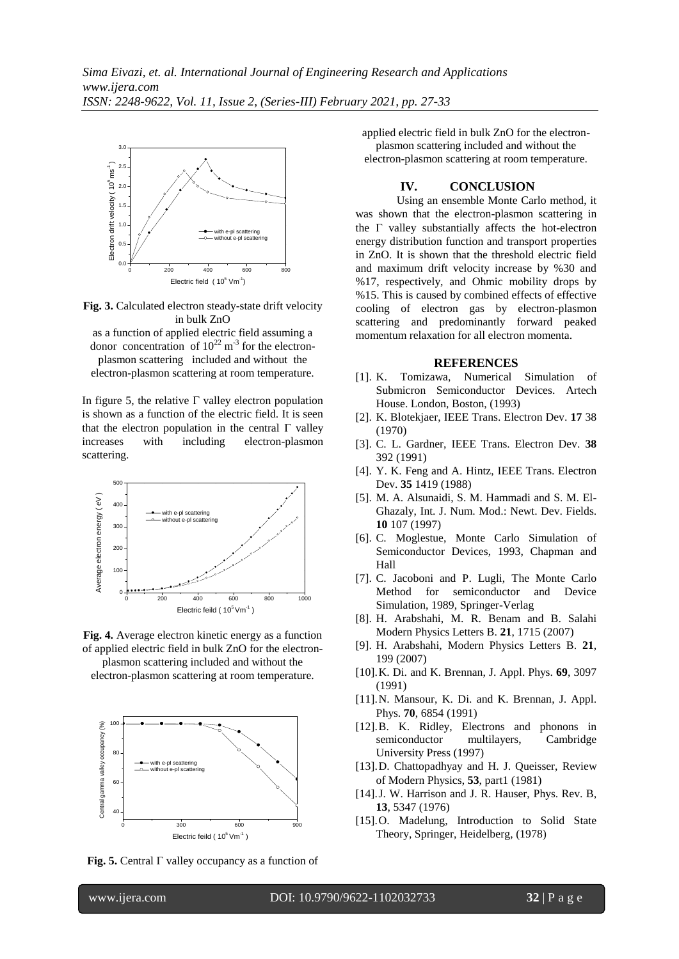

**Fig. 3.** Calculated electron steady-state drift velocity in bulk ZnO

as a function of applied electric field assuming a donor concentration of  $10^{22}$  m<sup>-3</sup> for the electronplasmon scattering included and without the electron-plasmon scattering at room temperature.

In figure 5, the relative  $\Gamma$  valley electron population is shown as a function of the electric field. It is seen that the electron population in the central  $\Gamma$  valley increases with including electron-plasmon scattering.





electron-plasmon scattering at room temperature.



**Fig. 5.** Central  $\Gamma$  valley occupancy as a function of

applied electric field in bulk ZnO for the electronplasmon scattering included and without the electron-plasmon scattering at room temperature.

### **IV. CONCLUSION**

Using an ensemble Monte Carlo method, it was shown that the electron-plasmon scattering in the  $\Gamma$  valley substantially affects the hot-electron energy distribution function and transport properties in ZnO. It is shown that the threshold electric field and maximum drift velocity increase by %30 and %17, respectively, and Ohmic mobility drops by %15. This is caused by combined effects of effective cooling of electron gas by electron-plasmon scattering and predominantly forward peaked momentum relaxation for all electron momenta.

#### **REFERENCES**

- [1]. K. Tomizawa, Numerical Simulation of Submicron Semiconductor Devices. Artech House. London, Boston, (1993)
- [2]. K. Blotekjaer, IEEE Trans. Electron Dev. **17** 38 (1970)
- [3]. C. L. Gardner, IEEE Trans. Electron Dev. **38** 392 (1991)
- [4]. Y. K. Feng and A. Hintz, IEEE Trans. Electron Dev. **35** 1419 (1988)
- [5]. M. A. Alsunaidi, S. M. Hammadi and S. M. El-Ghazaly, Int. J. Num. Mod.: Newt. Dev. Fields. **10** 107 (1997)
- [6]. C. Moglestue, Monte Carlo Simulation of Semiconductor Devices, 1993, Chapman and Hall
- [7]. C. Jacoboni and P. Lugli, The Monte Carlo Method for semiconductor and Device Simulation, 1989, Springer-Verlag
- [8]. H. Arabshahi, M. R. Benam and B. Salahi Modern Physics Letters B. **21**, 1715 (2007)
- [9]. H. Arabshahi, Modern Physics Letters B. **21**, 199 (2007)
- [10].K. Di. and K. Brennan, J. Appl. Phys. **69**, 3097 (1991)
- [11].N. Mansour, K. Di. and K. Brennan, J. Appl. Phys. **70**, 6854 (1991)
- [12].B. K. Ridley, Electrons and phonons in semiconductor multilayers, Cambridge University Press (1997)
- [13].D. Chattopadhyay and H. J. Queisser, Review of Modern Physics, **53**, part1 (1981)
- [14].J. W. Harrison and J. R. Hauser, Phys. Rev. B, **13**, 5347 (1976)
- [15].O. Madelung, Introduction to Solid State Theory, Springer, Heidelberg, (1978)